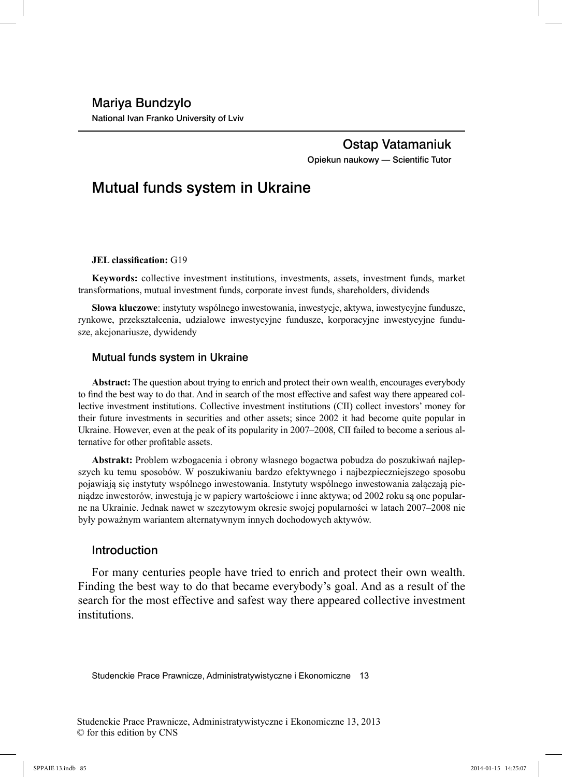# Ostap Vatamaniuk Opiekun naukowy - Scientific Tutor

# Mutual funds system in Ukraine

#### **JEL** classification: G19

**Keywords:** collective investment institutions, investments, assets, investment funds, market transformations, mutual investment funds, corporate invest funds, shareholders, dividends

**Słowa kluczowe**: instytuty wspólnego inwestowania, inwestycje, aktywa, inwestycyjne fundusze, rynkowe, przekształcenia, udziałowe inwestycyjne fundusze, korporacyjne inwestycyjne fundusze, akcjonariusze, dywidendy

#### Mutual funds system in Ukraine

**Abstract:** The question about trying to enrich and protect their own wealth, encourages everybody to find the best way to do that. And in search of the most effective and safest way there appeared collective investment institutions. Collective investment institutions (CII) collect investors' money for their future investments in securities and other assets; since 2002 it had become quite popular in Ukraine. However, even at the peak of its popularity in 2007–2008, CII failed to become a serious alternative for other profitable assets.

**Abstrakt:** Problem wzbogacenia i obrony własnego bogactwa pobudza do poszukiwań najlepszych ku temu sposobów. W poszukiwaniu bardzo efektywnego i najbezpieczniejszego sposobu pojawiają się instytuty wspólnego inwestowania. Instytuty wspólnego inwestowania załączają pieniądze inwestorów, inwestują je w papiery wartościowe i inne aktywa; od 2002 roku są one popularne na Ukrainie. Jednak nawet w szczytowym okresie swojej popularności w latach 2007–2008 nie były poważnym wariantem alternatywnym innych dochodowych aktywów.

## Introduction

For many centuries people have tried to enrich and protect their own wealth. Finding the best way to do that became everybody's goal. And as a result of the search for the most effective and safest way there appeared collective investment institutions.

Studenckie Prace Prawnicze, Administratywistyczne i Ekonomiczne 13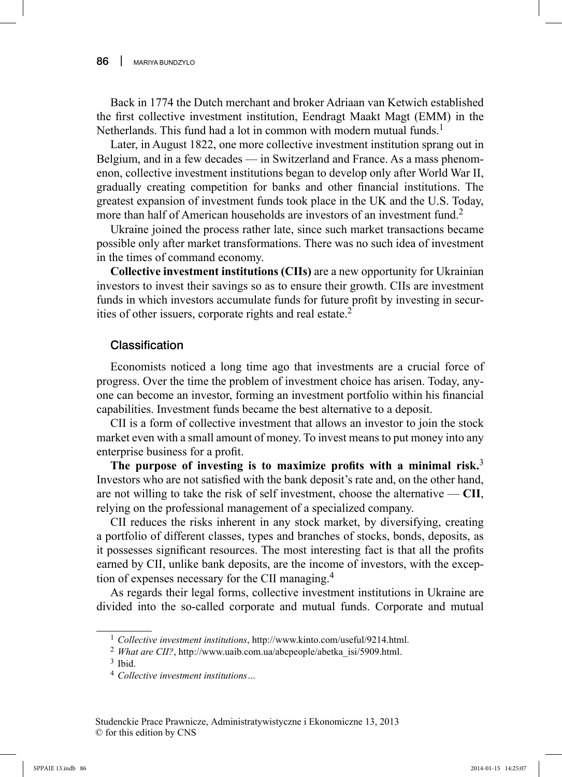Back in 1774 the Dutch merchant and broker Adriaan van Ketwich established the first collective investment institution, Eendragt Maakt Magt (EMM) in the Netherlands. This fund had a lot in common with modern mutual funds.<sup>1</sup>

Later, in August 1822, one more collective investment institution sprang out in Belgium, and in a few decades — in Switzerland and France. As a mass phenomenon, collective investment institutions began to develop only after World War II, gradually creating competition for banks and other financial institutions. The greatest expansion of investment funds took place in the UK and the U.S. Today, more than half of American households are investors of an investment fund.<sup>2</sup>

Ukraine joined the process rather late, since such market transactions became possible only after market transformations. There was no such idea of investment in the times of command economy.

**Сollective investment institutions (СІІs)** are a new opportunity for Ukrainian investors to invest their savings so as to ensure their growth. CIIs are investment funds in which investors accumulate funds for future profit by investing in securities of other issuers, corporate rights and real estate.2

## Classification

Economists noticed a long time ago that investments are a crucial force of progress. Over the time the problem of investment choice has arisen. Today, anyone can become an investor, forming an investment portfolio within his financial capabilities. Investment funds became the best alternative to a deposit.

CII is a form of collective investment that allows an investor to join the stock market even with a small amount of money. To invest means to put money into any enterprise business for a profit.

The purpose of investing is to maximize profits with a minimal risk.<sup>3</sup> Investors who are not satisfied with the bank deposit's rate and, on the other hand, are not willing to take the risk of self investment, choose the alternative — **CII**, relying on the professional management of a specialized company.

CII reduces the risks inherent in any stock market, by diversifying, creating a portfolio of different classes, types and branches of stocks, bonds, deposits, as it possesses significant resources. The most interesting fact is that all the profits earned by CII, unlike bank deposits, are the income of investors, with the exception of expenses necessary for the CII managing.4

As regards their legal forms, collective investment institutions in Ukraine are divided into the so-called corporate and mutual funds. Corporate and mutual

<sup>1</sup>*Collective investment institutions*, http://www.kinto.com/useful/9214.html.

<sup>&</sup>lt;sup>2</sup> What are CII?, http://www.uaib.com.ua/abcpeople/abetka\_isi/5909.html.

 $3$  Ibid.

<sup>4</sup>*Collective investment institutions…*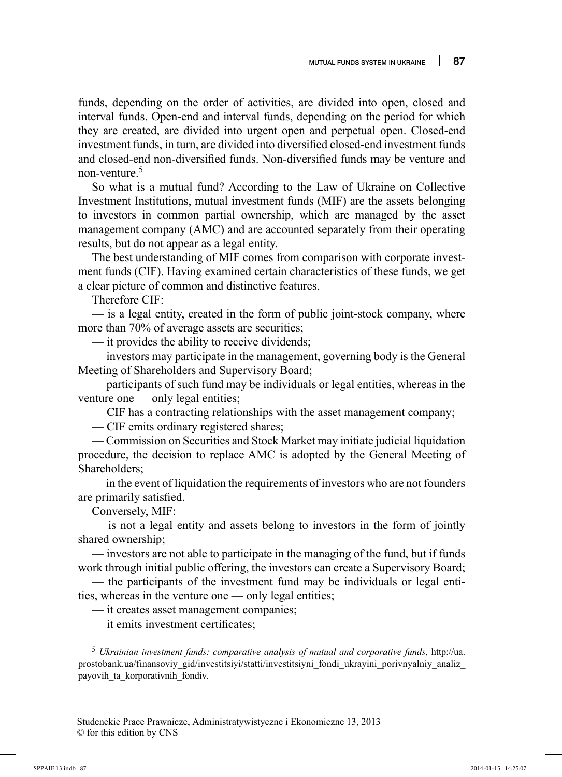funds, depending on the order of activities, are divided into open, closed and interval funds. Open-end and interval funds, depending on the period for which they are created, are divided into urgent open and perpetual open. Closed-end investment funds, in turn, are divided into diversified closed-end investment funds and closed-end non-diversified funds. Non-diversified funds may be venture and non-venture.5

So what is a mutual fund? According to the Law of Ukraine on Collective Investment Institutions, mutual investment funds (MIF) are the assets belonging to investors in common partial ownership, which are managed by the asset management company (AMC) and are accounted separately from their operating results, but do not appear as a legal entity.

The best understanding of MIF comes from comparison with corporate investment funds (CIF). Having examined certain characteristics of these funds, we get a clear picture of common and distinctive features.

Therefore CIF:

— is a legal entity, created in the form of public joint-stock company, where more than 70% of average assets are securities;

— it provides the ability to receive dividends;

— investors may participate in the management, governing body is the General Meeting of Shareholders and Supervisory Board;

— participants of such fund may be individuals or legal entities, whereas in the venture one — only legal entities;

— CIF has a contracting relationships with the asset management company;

— CIF emits ordinary registered shares;

— Commission on Securities and Stock Market may initiate judicial liquidation procedure, the decision to replace AMC is adopted by the General Meeting of Shareholders;

— in the event of liquidation the requirements of investors who are not founders are primarily satisfied.

Conversely, MIF:

— is not a legal entity and assets belong to investors in the form of jointly shared ownership;

— investors are not able to participate in the managing of the fund, but if funds work through initial public offering, the investors can create a Supervisory Board;

— the participants of the investment fund may be individuals or legal entities, whereas in the venture one — only legal entities;

— it creates asset management companies;

 $-$  it emits investment certificates:

<sup>5</sup>*Ukrainian investment funds: comparative analysis of mutual and corporative funds*, http://ua. prostobank.ua/finansoviy\_gid/investitsiyi/statti/investitsiyni\_fondi\_ukrayini\_porivnyalniy\_analiz\_ payovih\_ta\_korporativnih\_fondiv.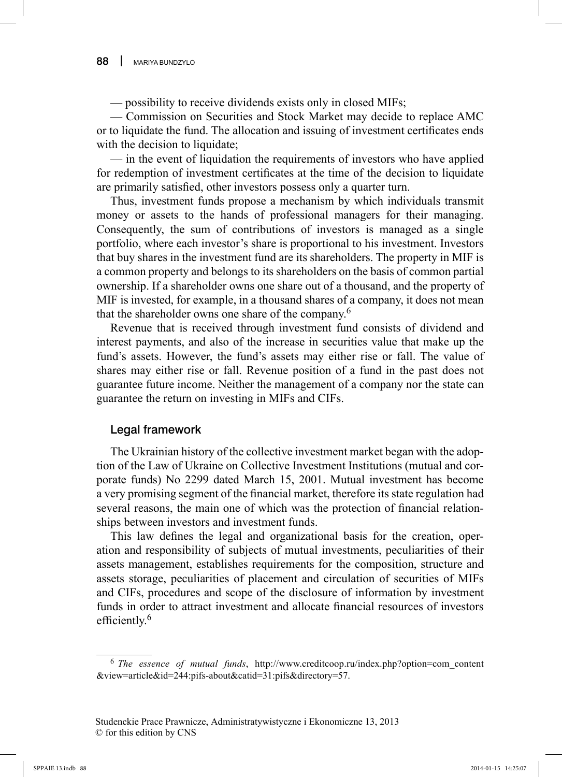— possibility to receive dividends exists only in closed MIFs;

— Commission on Securities and Stock Market may decide to replace AMC or to liquidate the fund. The allocation and issuing of investment certificates ends with the decision to liquidate;

— in the event of liquidation the requirements of investors who have applied for redemption of investment certificates at the time of the decision to liquidate are primarily satisfied, other investors possess only a quarter turn.

Thus, investment funds propose a mechanism by which individuals transmit money or assets to the hands of professional managers for their managing. Consequently, the sum of contributions of investors is managed as a single portfolio, where each investor's share is proportional to his investment. Investors that buy shares in the investment fund are its shareholders. The property in MIF is a common property and belongs to its shareholders on the basis of common partial ownership. If a shareholder owns one share out of a thousand, and the property of MIF is invested, for example, in a thousand shares of a company, it does not mean that the shareholder owns one share of the company.6

Revenue that is received through investment fund consists of dividend and interest payments, and also of the increase in securities value that make up the fund's assets. However, the fund's assets may either rise or fall. The value of shares may either rise or fall. Revenue position of a fund in the past does not guarantee future income. Neither the management of a company nor the state can guarantee the return on investing in MIFs and CIFs.

## Legal framework

The Ukrainian history of the collective investment market began with the adoption of the Law of Ukraine on Collective Investment Institutions (mutual and corporate funds) No 2299 dated March 15, 2001. Mutual investment has become a very promising segment of the financial market, therefore its state regulation had several reasons, the main one of which was the protection of financial relationships between investors and investment funds.

This law defines the legal and organizational basis for the creation, operation and responsibility of subjects of mutual investments, peculiarities of their assets management, establishes requirements for the composition, structure and assets storage, peculiarities of placement and circulation of securities of MIFs and CIFs, procedures and scope of the disclosure of information by investment funds in order to attract investment and allocate financial resources of investors efficiently. $6$ 

<sup>6</sup>*The essence of mutual funds*, http://www.creditcoop.ru/index.php?option=com\_content &view=article&id=244:pifs-about&catid=31:pifs&directory=57.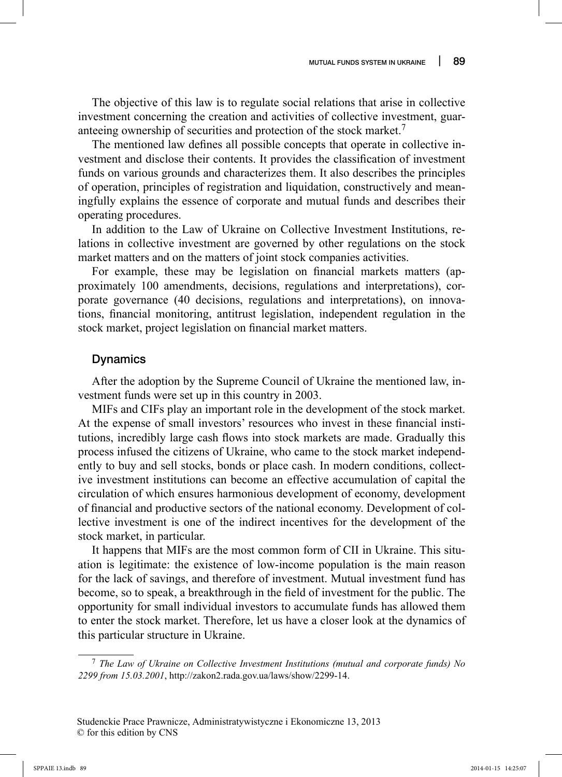The objective of this law is to regulate social relations that arise in collective investment concerning the creation and activities of collective investment, guaranteeing ownership of securities and protection of the stock market.<sup>7</sup>

The mentioned law defines all possible concepts that operate in collective investment and disclose their contents. It provides the classification of investment funds on various grounds and characterizes them. It also describes the principles of operation, principles of registration and liquidation, constructively and meaningfully explains the essence of corporate and mutual funds and describes their operating procedures.

In addition to the Law of Ukraine on Collective Investment Institutions, relations in collective investment are governed by other regulations on the stock market matters and on the matters of joint stock companies activities.

For example, these may be legislation on financial markets matters (approximately 100 amendments, decisions, regulations and interpretations), corporate governance (40 decisions, regulations and interpretations), on innovations, financial monitoring, antitrust legislation, independent regulation in the stock market, project legislation on financial market matters.

### Dynamics

After the adoption by the Supreme Council of Ukraine the mentioned law, investment funds were set up in this country in 2003.

MIFs and CIFs play an important role in the development of the stock market. At the expense of small investors' resources who invest in these financial institutions, incredibly large cash flows into stock markets are made. Gradually this process infused the citizens of Ukraine, who came to the stock market independently to buy and sell stocks, bonds or place cash. In modern conditions, collective investment institutions can become an effective accumulation of capital the circulation of which ensures harmonious development of economy, development of financial and productive sectors of the national economy. Development of collective investment is one of the indirect incentives for the development of the stock market, in particular.

It happens that MIFs are the most common form of CII in Ukraine. This situation is legitimate: the existence of low-income population is the main reason for the lack of savings, and therefore of investment. Mutual investment fund has become, so to speak, a breakthrough in the field of investment for the public. The opportunity for small individual investors to accumulate funds has allowed them to enter the stock market. Therefore, let us have a closer look at the dynamics of this particular structure in Ukraine.

<sup>7</sup>*The Law of Ukraine on Collective Investment Institutions (mutual and corporate funds) No 2299 from 15.03.2001*, http://zakon2.rada.gov.ua/laws/show/2299-14.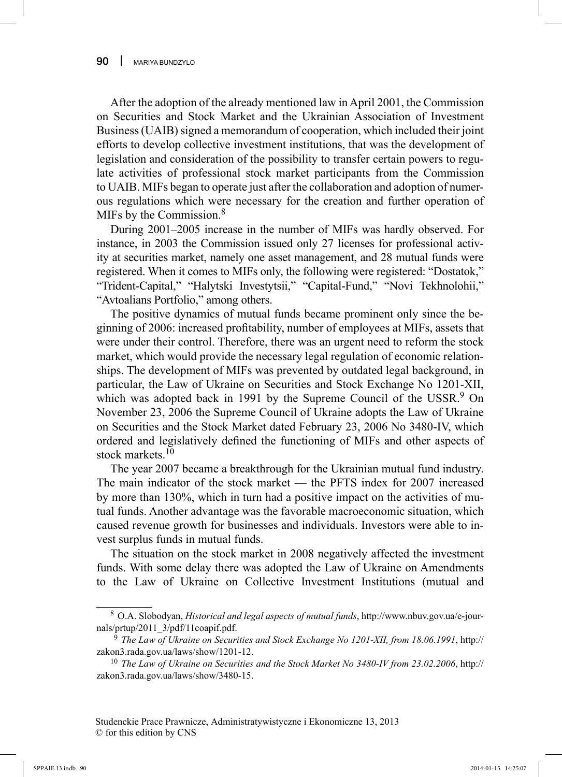After the adoption of the already mentioned law in April 2001, the Commission on Securities and Stock Market and the Ukrainian Association of Investment Business (UAIB) signed a memorandum of cooperation, which included their joint efforts to develop collective investment institutions, that was the development of legislation and consideration of the possibility to transfer certain powers to regulate activities of professional stock market participants from the Commission to UAIB. MIFs began to operate just after the collaboration and adoption of numerous regulations which were necessary for the creation and further operation of MIFs by the Commission.<sup>8</sup>

During 2001–2005 increase in the number of MIFs was hardly observed. For instance, in 2003 the Commission issued only 27 licenses for professional activity at securities market, namely one asset management, and 28 mutual funds were registered. When it comes to MIFs only, the following were registered: "Dostatok," "Trident-Capital," "Halytski Investytsii," "Capital-Fund," "Novi Tekhnolohii," "Avtoalians Portfolio," among others.

The positive dynamics of mutual funds became prominent only since the beginning of 2006: increased profi tability, number of employees at MIFs, assets that were under their control. Therefore, there was an urgent need to reform the stock market, which would provide the necessary legal regulation of economic relationships. The development of MIFs was prevented by outdated legal background, in particular, the Law of Ukraine on Securities and Stock Exchange No 1201-XII, which was adopted back in 1991 by the Supreme Council of the USSR.<sup>9</sup> On November 23, 2006 the Supreme Council of Ukraine adopts the Law of Ukraine on Securities and the Stock Market dated February 23, 2006 No 3480-IV, which ordered and legislatively defined the functioning of MIFs and other aspects of stock markets.<sup>10</sup>

The year 2007 became a breakthrough for the Ukrainian mutual fund industry. The main indicator of the stock market — the PFTS index for 2007 increased by more than 130%, which in turn had a positive impact on the activities of mutual funds. Another advantage was the favorable macroeconomic situation, which caused revenue growth for businesses and individuals. Investors were able to invest surplus funds in mutual funds.

The situation on the stock market in 2008 negatively affected the investment funds. With some delay there was adopted the Law of Ukraine on Amendments to the Law of Ukraine on Collective Investment Institutions (mutual and

<sup>8</sup> O.A. Slobodyan, *Historical and legal aspects of mutual funds*, http://www.nbuv.gov.ua/e-journals/prtup/2011\_3/pdf/11coapif.pdf.

<sup>9</sup>*The Law of Ukraine on Securities and Stock Exchange No 1201-XII, from 18.06.1991*, http:// zakon3.rada.gov.ua/laws/show/1201-12.

<sup>10</sup>*The Law of Ukraine on Securities and the Stock Market No 3480-IV from 23.02.2006*, http:// zakon3.rada.gov.ua/laws/show/3480-15.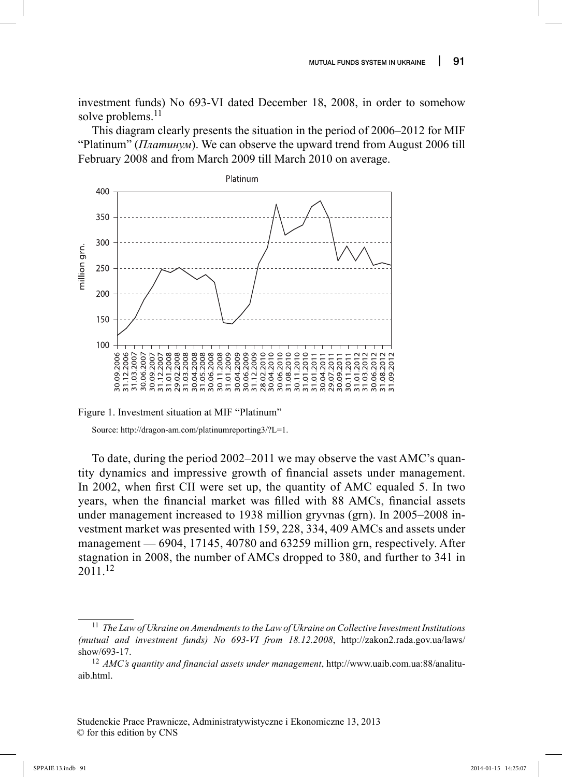investment funds) No 693-VI dated December 18, 2008, in order to somehow solve problems.<sup>11</sup>

This diagram clearly presents the situation in the period of 2006–2012 for MIF "Platinum" (*Платинум*). We can observe the upward trend from August 2006 till February 2008 and from March 2009 till March 2010 on average.



Figure 1. Investment situation at MIF "Platinum"

Source: http://dragon-am.com/platinumreporting3/?L=1.

To date, during the period 2002–2011 we may observe the vast AMC's quantity dynamics and impressive growth of financial assets under management. In 2002, when first CII were set up, the quantity of AMC equaled 5. In two years, when the financial market was filled with 88 AMCs, financial assets under management increased to 1938 million gryvnas (grn). In 2005–2008 investment market was presented with 159, 228, 334, 409 AMCs and assets under management — 6904, 17145, 40780 and 63259 million grn, respectively. After stagnation in 2008, the number of AMCs dropped to 380, and further to 341 in 2011.<sup>12</sup>

<sup>11</sup>*The Law of Ukraine on Amendments to the Law of Ukraine on Collective Investment Institutions (mutual and investment funds) No 693-VI from 18.12.2008*, http://zakon2.rada.gov.ua/laws/ show/693-17.

<sup>12</sup>*AMC's quantity and financial assets under management*, http://www.uaib.com.ua:88/analituaib.html.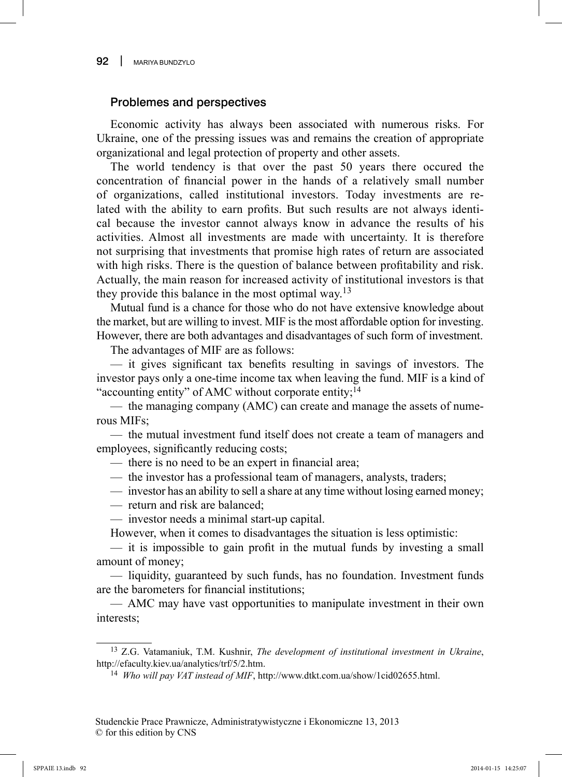## Problemes and perspectives

Economic activity has always been associated with numerous risks. For Ukraine, one of the pressing issues was and remains the creation of appropriate organizational and legal protection of property and other assets.

The world tendency is that over the past 50 years there occured the concentration of financial power in the hands of a relatively small number of organizations, called institutional investors. Today investments are related with the ability to earn profits. But such results are not always identical because the investor cannot always know in advance the results of his activities. Almost all investments are made with uncertainty. It is therefore not surprising that investments that promise high rates of return are associated with high risks. There is the question of balance between profitability and risk. Actually, the main reason for increased activity of institutional investors is that they provide this balance in the most optimal way.<sup>13</sup>

Mutual fund is a chance for those who do not have extensive knowledge about the market, but are willing to invest. MIF is the most affordable option for investing. However, there are both advantages and disadvantages of such form of investment.

The advantages of MIF are as follows:

 $-$  it gives significant tax benefits resulting in savings of investors. The investor pays only a one-time income tax when leaving the fund. MIF is a kind of "accounting entity" of AMC without corporate entity;<sup>14</sup>

— the managing company (AMC) can create and manage the assets of numerous MIFs;

— the mutual investment fund itself does not create a team of managers and employees, significantly reducing costs;

- there is no need to be an expert in financial area;
- the investor has a professional team of managers, analysts, traders;
- investor has an ability to sell a share at any time without losing earned money;
- return and risk are balanced;
- investor needs a minimal start-up capital.

However, when it comes to disadvantages the situation is less optimistic:

 $-$  it is impossible to gain profit in the mutual funds by investing a small amount of money;

— liquidity, guaranteed by such funds, has no foundation. Investment funds are the barometers for financial institutions;

— AMC may have vast opportunities to manipulate investment in their own interests;

<sup>13</sup> Z.G. Vatamaniuk, T.M. Kushnir, *The development of institutional investment in Ukraine*, http://efaculty.kiev.ua/analytics/trf/5/2.htm.

<sup>14</sup> *Who will pay VAT instead of MIF*, http://www.dtkt.com.ua/show/1cid02655.html.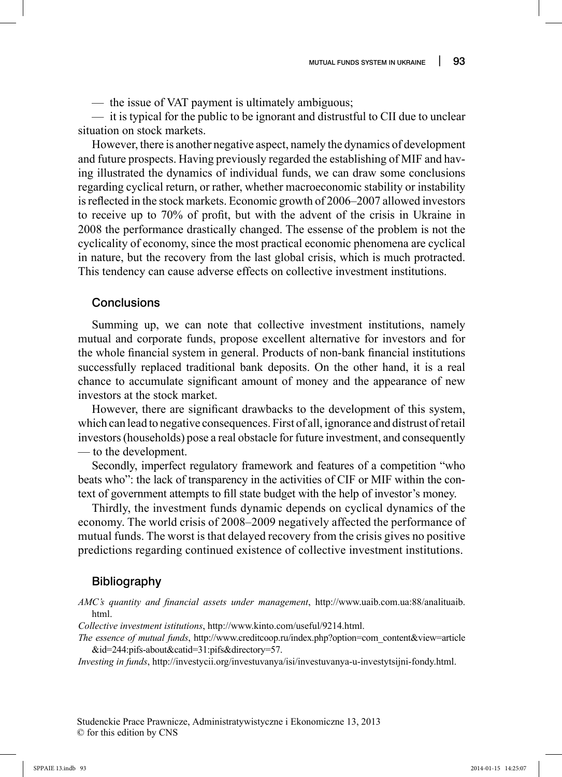— the issue of VAT payment is ultimately ambiguous;

— it is typical for the public to be ignorant and distrustful to CII due to unclear situation on stock markets.

However, there is another negative aspect, namely the dynamics of development and future prospects. Having previously regarded the establishing of MIF and having illustrated the dynamics of individual funds, we can draw some conclusions regarding cyclical return, or rather, whether macroeconomic stability or instability is reflected in the stock markets. Economic growth of 2006–2007 allowed investors to receive up to 70% of profit, but with the advent of the crisis in Ukraine in 2008 the performance drastically changed. The essense of the problem is not the cyclicality of economy, since the most practical economic phenomena are cyclical in nature, but the recovery from the last global crisis, which is much protracted. This tendency can cause adverse effects on collective investment institutions.

#### Conclusions

Summing up, we can note that collective investment institutions, namely mutual and corporate funds, propose excellent alternative for investors and for the whole financial system in general. Products of non-bank financial institutions successfully replaced traditional bank deposits. On the other hand, it is a real chance to accumulate significant amount of money and the appearance of new investors at the stock market.

However, there are significant drawbacks to the development of this system, which can lead to negative consequences. First of all, ignorance and distrust of retail investors (households) pose a real obstacle for future investment, and consequently — to the development.

Secondly, imperfect regulatory framework and features of a competition "who beats who": the lack of transparency in the activities of CIF or MIF within the context of government attempts to fill state budget with the help of investor's money.

Thirdly, the investment funds dynamic depends on cyclical dynamics of the economy. The world crisis of 2008–2009 negatively affected the performance of mutual funds. The worst is that delayed recovery from the crisis gives no positive predictions regarding continued existence of collective investment institutions.

#### Bibliography

AMC's quantity and financial assets under management, http://www.uaib.com.ua:88/analituaib. html.

*Collective investment istitutions*, http://www.kinto.com/useful/9214.html.

*The essence of mutual funds*, http://www.creditcoop.ru/index.php?option=com\_content&view=article &id=244:pifs-about&catid=31:pifs&directory=57.

*Investing in funds*, http://investycii.org/investuvanya/isi/investuvanya-u-investytsijni-fondy.html.